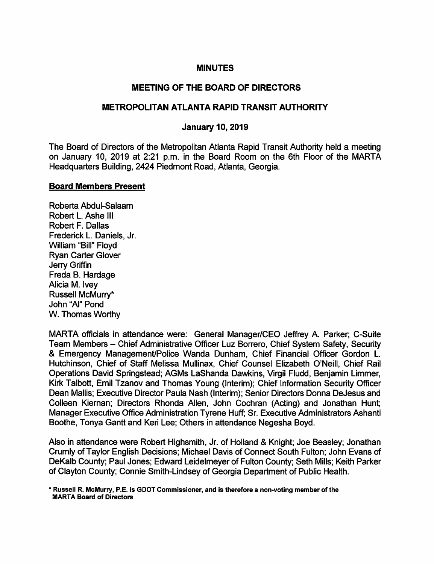#### MINUTES

# MEETING OF THE BOARD OF DIRECTORS

#### METROPOLITAN ATLANTA RAPID TRANSIT AUTHORITY

### January 10,2019

The Board of Directors of the Metropolitan Atlanta Rapid Transit Authority held a meeting on January 10, 2019 at 2:21 p.m. in the Board Room on the 6th Floor of the MARTA Headquarters Building, 2424 Piedmont Road, Atlanta, Georgia.

#### Board Members Present

Roberta Abdul-Salaam Robert L Ashe III Robert F. Dallas Frederick L. Daniels, Jr. William "Bill" Floyd Ryan Carter Glover Jerry Griffin Freda B. Hardage Alicia M. Ivey Russell McMurry\* John "Al" Pond W. Thomas Worthy

MARTA officials in attendance were: General Manager/CEO Jeffrey A. Parker; C-Suite Team Members - Chief Administrative Officer Luz Borrero, Chief System Safety, Security & Emergency Management/Police Wanda Dunham, Chief Financial Officer Gordon L. Hutchinson, Chief of Staff Melissa Mullinax, Chief Counsel Elizabeth O'Neill, Chief Rail Operations David Springstead; AGMs LaShanda Dawkins, Virgil Fludd, Benjamin Limmer, Kirk Talbott, Emil Tzanov and Thomas Young (Interim); Chief Information Security Officer Dean Mallis; Executive Director Paula Nash (Interim); Senior Directors Donna DeJesus and Colleen Kiernan; Directors Rhonda Allen, John Cochran (Acting) and Jonathan Hunt; Manager Executive Office Administration Tyrene Huff; Sr. Executive Administrators Ashanti Boothe, Tonya Gantt and Keri Lee; Others in attendance Negesha Boyd.

Also in attendance were Robert Highsmith, Jr. of Holland & Knight; Joe Beasley; Jonathan Crumly of Taylor English Decisions; Michael Davis of Connect South Fulton; John Evans of DeKalb County; Paul Jones; Edward Leidelmeyer of Fulton County; Seth Mills; Keith Parker of Clayton County; Connie Smith-Lindsey of Georgia Department of Public Health.

\* Russell R. McMurry, P.E. is GDOT Commissioner, and is therefore a non-voting member of the MARTA Board of Directors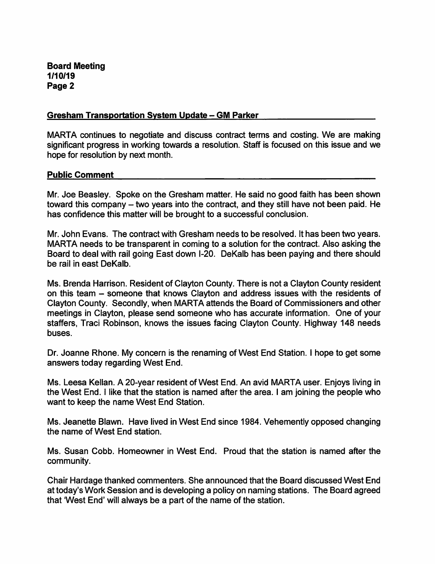**Board Meeting** 1/10/19 Page 2

#### **Gresham Transportation System Update - GM Parker**

MARTA continues to negotiate and discuss contract terms and costing. We are making significant progress in working towards a resolution. Staff is focused on this issue and we hope for resolution by next month.

### **Public Comment**

Mr. Joe Beasley. Spoke on the Gresham matter. He said no good faith has been shown toward this company – two years into the contract, and they still have not been paid. He has confidence this matter will be brought to a successful conclusion.

Mr. John Evans. The contract with Gresham needs to be resolved. It has been two years. MARTA needs to be transparent in coming to a solution for the contract. Also asking the Board to deal with rail going East down I-20. DeKalb has been paying and there should be rail in east DeKalb.

Ms. Brenda Harrison. Resident of Clayton County. There is not a Clayton County resident on this team - someone that knows Clayton and address issues with the residents of Clayton County. Secondly, when MARTA attends the Board of Commissioners and other meetings in Clayton, please send someone who has accurate information. One of your staffers, Traci Robinson, knows the issues facing Clayton County. Highway 148 needs buses.

Dr. Joanne Rhone. My concern is the renaming of West End Station. I hope to get some answers today regarding West End.

Ms. Leesa Kellan. A 20-year resident of West End. An avid MARTA user. Enjoys living in the West End. I like that the station is named after the area. I am joining the people who want to keep the name West End Station.

Ms. Jeanette Blawn. Have lived in West End since 1984. Vehemently opposed changing the name of West End station.

Ms. Susan Cobb. Homeowner in West End. Proud that the station is named after the community.

Chair Hardage thanked commenters. She announced that the Board discussed West End at today's Work Session and is developing a policy on naming stations. The Board agreed that 'West End' will always be a part of the name of the station.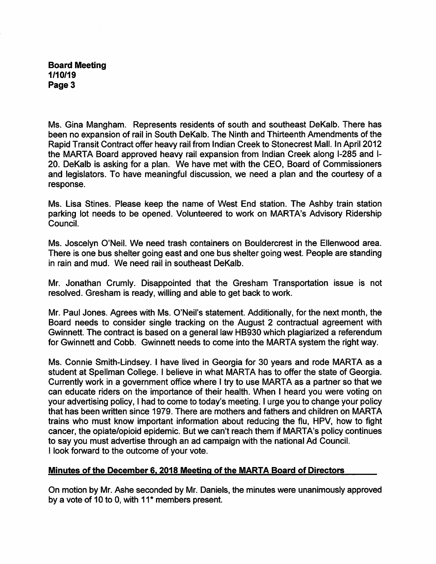## **Board Meeting** 1/10/19 Page 3

Ms. Gina Mangham. Represents residents of south and southeast DeKalb. There has been no expansion of rail in South DeKalb. The Ninth and Thirteenth Amendments of the Rapid Transit Contract offer heavy rail from Indian Creek to Stonecrest Mall. In April 2012 the MARTA Board approved heavy rail expansion from Indian Creek along I-285 and I-20. DeKalb is asking for a plan. We have met with the CEO, Board of Commissioners and legislators. To have meaningful discussion, we need a plan and the courtesy of a response.

Ms. Lisa Stines. Please keep the name of West End station. The Ashby train station parking lot needs to be opened. Volunteered to work on MARTA's Advisory Ridership Council.

Ms. Joscelyn O'Neil. We need trash containers on Bouldercrest in the Ellenwood area. There is one bus shelter going east and one bus shelter going west. People are standing in rain and mud. We need rail in southeast DeKalb.

Mr. Jonathan Crumly. Disappointed that the Gresham Transportation issue is not resolved. Gresham is ready, willing and able to get back to work.

Mr. Paul Jones. Agrees with Ms. O'Neil's statement. Additionally, for the next month, the Board needs to consider single tracking on the August 2 contractual agreement with Gwinnett. The contract is based on a general law HB930 which plagiarized a referendum for Gwinnett and Cobb. Gwinnett needs to come into the MARTA system the right way.

Ms. Connie Smith-Lindsey. I have lived in Georgia for 30 years and rode MARTA as a student at Spellman College. I believe in what MARTA has to offer the state of Georgia. Currently work in a government office where I try to use MARTA as a partner so that we can educate riders on the importance of their health. When I heard you were voting on your advertising policy, I had to come to today's meeting. I urge you to change your policy that has been written since 1979. There are mothers and fathers and children on MARTA trains who must know important information about reducing the flu, HPV, how to fight cancer, the opiate/opioid epidemic. But we can't reach them if MARTA's policy continues to say you must advertise through an ad campaign with the national Ad Council. I look forward to the outcome of your vote.

# Minutes of the December 6, 2018 Meeting of the MARTA Board of Directors

On motion by Mr. Ashe seconded by Mr. Daniels, the minutes were unanimously approved by a vote of 10 to 0, with 11<sup>\*</sup> members present.